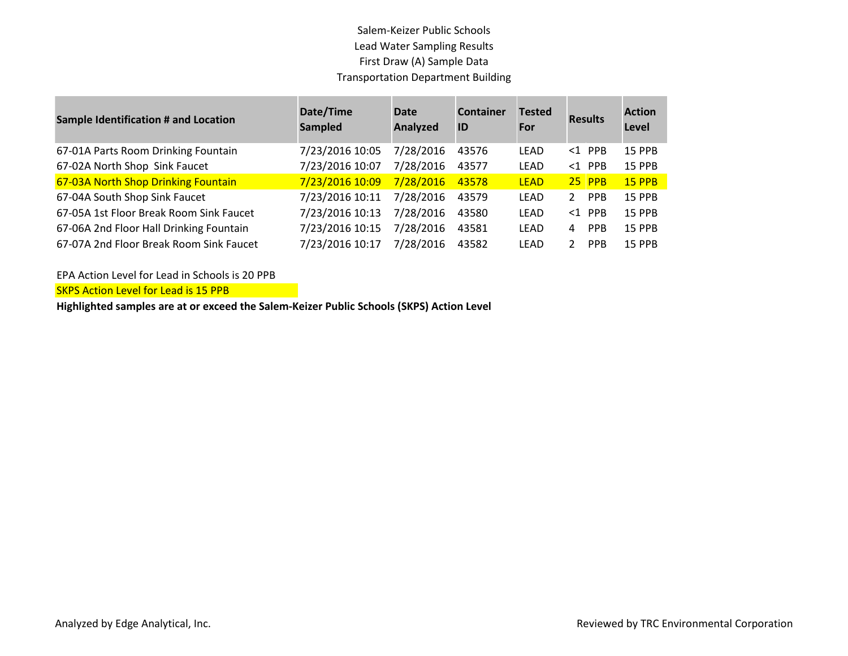## Salem-Keizer Public Schools Lead Water Sampling Results First Draw (A) Sample Data Transportation Department Building

| <b>Sample Identification # and Location</b> | Date/Time<br><b>Sampled</b> | <b>Date</b><br>Analyzed | <b>Container</b><br>ID | <b>Tested</b><br>For | <b>Results</b>              | <b>Action</b><br>Level |
|---------------------------------------------|-----------------------------|-------------------------|------------------------|----------------------|-----------------------------|------------------------|
| 67-01A Parts Room Drinking Fountain         | 7/23/2016 10:05             | 7/28/2016               | 43576                  | LEAD                 | $<1$ PPB                    | <b>15 PPB</b>          |
| 67-02A North Shop Sink Faucet               | 7/23/2016 10:07             | 7/28/2016               | 43577                  | <b>LEAD</b>          | $<1$ PPB                    | 15 PPB                 |
| 67-03A North Shop Drinking Fountain         | 7/23/2016 10:09             | 7/28/2016               | 43578                  | <b>LEAD</b>          | $25$ PPB                    | <b>15 PPB</b>          |
| 67-04A South Shop Sink Faucet               | 7/23/2016 10:11             | 7/28/2016               | 43579                  | LEAD                 | <b>PPB</b><br>$\mathbf{2}$  | 15 PPB                 |
| 67-05A 1st Floor Break Room Sink Faucet     | 7/23/2016 10:13             | 7/28/2016               | 43580                  | LFAD                 | $<1$ PPB                    | <b>15 PPB</b>          |
| 67-06A 2nd Floor Hall Drinking Fountain     | 7/23/2016 10:15             | 7/28/2016               | 43581                  | LEAD                 | <b>PPB</b><br>4             | <b>15 PPB</b>          |
| 67-07A 2nd Floor Break Room Sink Faucet     | 7/23/2016 10:17             | 7/28/2016               | 43582                  | LEAD                 | <b>PPB</b><br>$\mathcal{P}$ | <b>15 PPB</b>          |

EPA Action Level for Lead in Schools is 20 PPB

**SKPS Action Level for Lead is 15 PPB** 

**Highlighted samples are at or exceed the Salem-Keizer Public Schools (SKPS) Action Level**